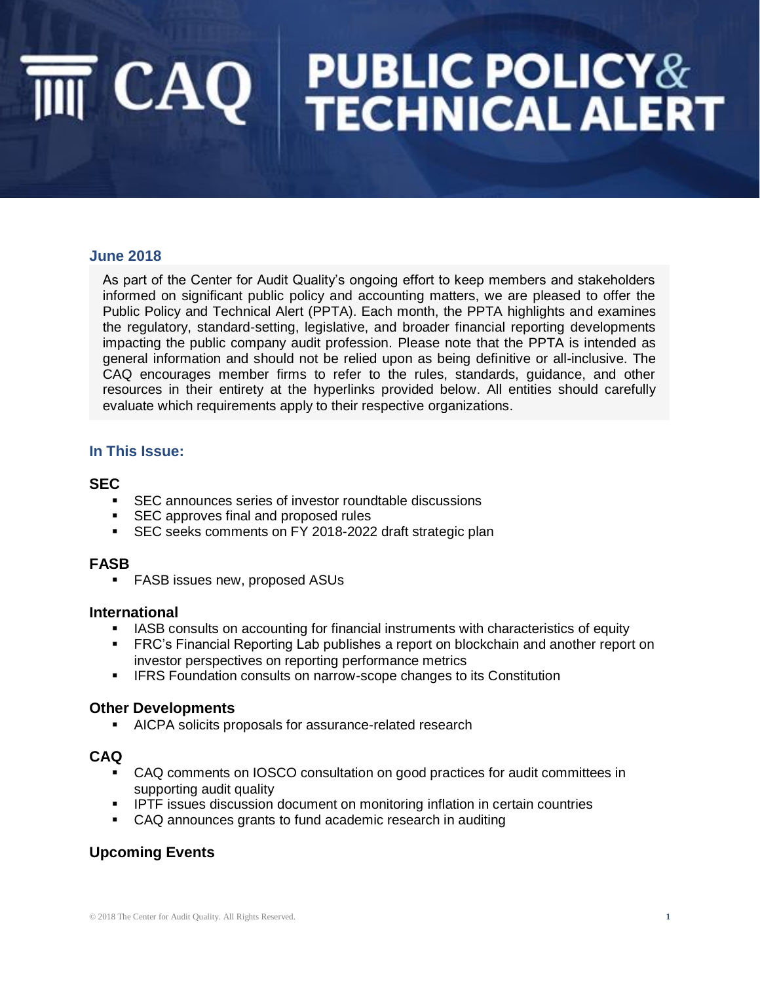# **PUBLIC POLICY&<br>TECHNICAL ALERT**  $\overline{\mathbb{I}\mathbb{I}}$  CAQ  $\parallel$

### **June 2018**

As part of the Center for Audit Quality's ongoing effort to keep members and stakeholders informed on significant public policy and accounting matters, we are pleased to offer the Public Policy and Technical Alert (PPTA). Each month, the PPTA highlights and examines the regulatory, standard-setting, legislative, and broader financial reporting developments impacting the public company audit profession. Please note that the PPTA is intended as general information and should not be relied upon as being definitive or all-inclusive. The CAQ encourages member firms to refer to the rules, standards, guidance, and other resources in their entirety at the hyperlinks provided below. All entities should carefully evaluate which requirements apply to their respective organizations.

### **In This Issue:**

### **SEC**

- SEC announces series of investor roundtable discussions
- SEC approves final and proposed rules
- SEC seeks comments on FY 2018-2022 draft strategic plan

### **FASB**

■ FASB issues new, proposed ASUs

### **International**

- **EXEL IASB consults on accounting for financial instruments with characteristics of equity**
- **FRC's Financial Reporting Lab publishes a report on blockchain and another report on** investor perspectives on reporting performance metrics
- **EXECT:** IFRS Foundation consults on narrow-scope changes to its Constitution

### **Other Developments**

■ AICPA solicits proposals for assurance-related research

## **CAQ**

- CAQ comments on IOSCO consultation on good practices for audit committees in supporting audit quality
- **•** IPTF issues discussion document on monitoring inflation in certain countries
- CAQ announces grants to fund academic research in auditing

## **Upcoming Events**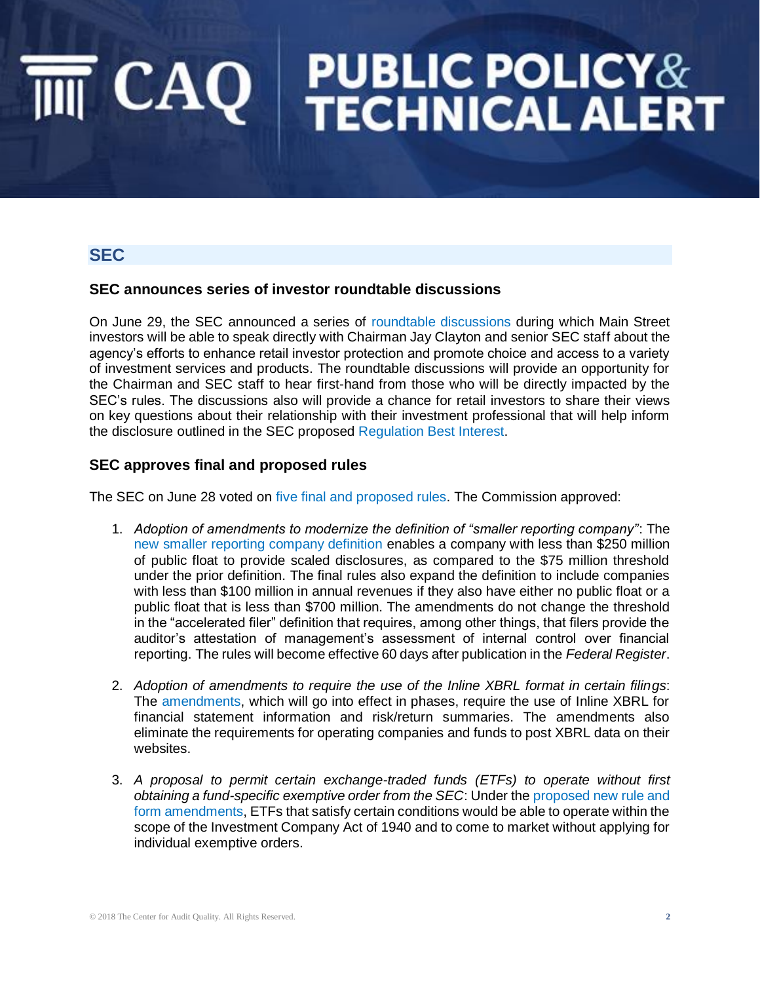## **PUBLIC POLICY&<br>TECHNICAL ALERT**  $CAQ$

## **SEC**

### **SEC announces series of investor roundtable discussions**

On June 29, the SEC announced a series of [roundtable discussions](http://caq.informz.net/z/cjUucD9taT03NzQ4MzI1JnA9MSZ1PTExMDIzNzM0MzImbGk9NTYxOTc5Nzg/index.html) during which Main Street investors will be able to speak directly with Chairman Jay Clayton and senior SEC staff about the agency's efforts to enhance retail investor protection and promote choice and access to a variety of investment services and products. The roundtable discussions will provide an opportunity for the Chairman and SEC staff to hear first-hand from those who will be directly impacted by the SEC's rules. The discussions also will provide a chance for retail investors to share their views on key questions about their relationship with their investment professional that will help inform the disclosure outlined in the SEC proposed [Regulation Best Interest.](https://www.sec.gov/news/press-release/2018-68)

## **SEC approves final and proposed rules**

The SEC on June 28 voted on [five final and proposed rules.](https://www.sec.gov/news/press-release/2018-121) The Commission approved:

- 1. *Adoption of amendments to modernize the definition of "smaller reporting company"*: The [new smaller reporting company definition](https://www.sec.gov/news/press-release/2018-116) enables a company with less than \$250 million of public float to provide scaled disclosures, as compared to the \$75 million threshold under the prior definition. The final rules also expand the definition to include companies with less than \$100 million in annual revenues if they also have either no public float or a public float that is less than \$700 million. The amendments do not change the threshold in the "accelerated filer" definition that requires, among other things, that filers provide the auditor's attestation of management's assessment of internal control over financial reporting. The rules will become effective 60 days after publication in the *Federal Register*.
- 2. *Adoption of amendments to require the use of the Inline XBRL format in certain filings*: The [amendments,](https://www.sec.gov/news/press-release/2018-117) which will go into effect in phases, require the use of Inline XBRL for financial statement information and risk/return summaries. The amendments also eliminate the requirements for operating companies and funds to post XBRL data on their websites.
- 3. *A proposal to permit certain exchange-traded funds (ETFs) to operate without first obtaining a fund-specific exemptive order from the SEC*: Under the [proposed new rule and](https://www.sec.gov/news/press-release/2018-118)  [form amendments,](https://www.sec.gov/news/press-release/2018-118) ETFs that satisfy certain conditions would be able to operate within the scope of the Investment Company Act of 1940 and to come to market without applying for individual exemptive orders.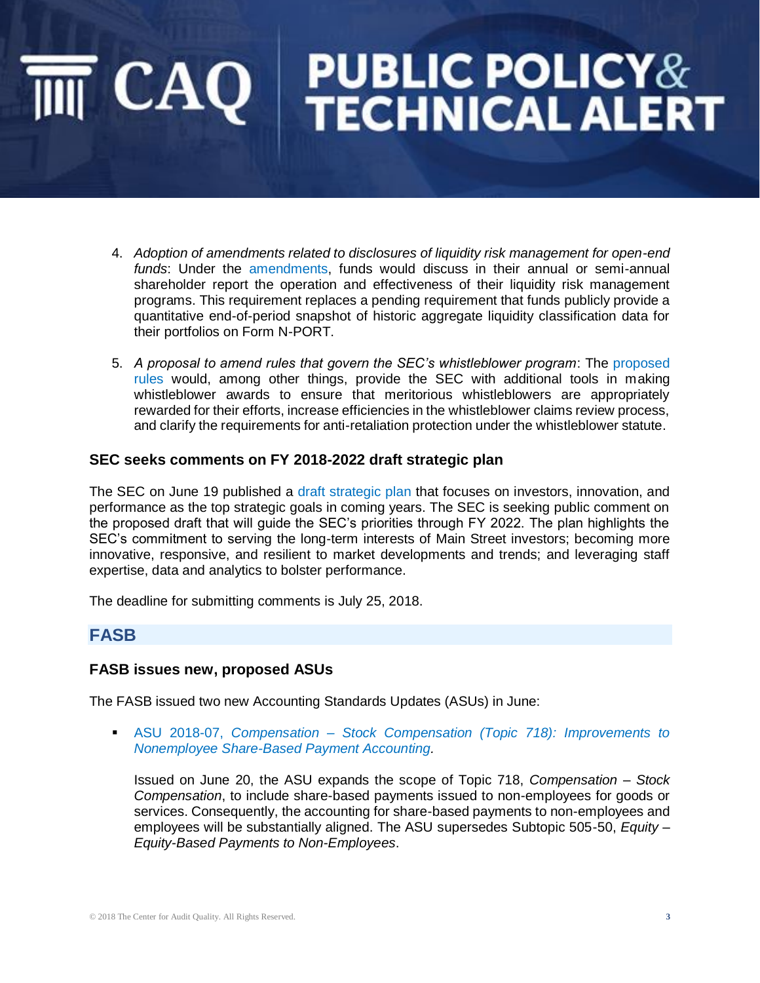# **PUBLIC POLICY&<br>TECHNICAL ALERT**  $\mathsf{CAO}$

- 4. *Adoption of amendments related to disclosures of liquidity risk management for open-end funds*: Under the [amendments,](https://www.sec.gov/news/press-release/2018-119) funds would discuss in their annual or semi-annual shareholder report the operation and effectiveness of their liquidity risk management programs. This requirement replaces a pending requirement that funds publicly provide a quantitative end-of-period snapshot of historic aggregate liquidity classification data for their portfolios on Form N-PORT.
- 5. *A proposal to amend rules that govern the SEC's whistleblower program*: The [proposed](https://www.sec.gov/news/press-release/2018-120)  [rules](https://www.sec.gov/news/press-release/2018-120) would, among other things, provide the SEC with additional tools in making whistleblower awards to ensure that meritorious whistleblowers are appropriately rewarded for their efforts, increase efficiencies in the whistleblower claims review process, and clarify the requirements for anti-retaliation protection under the whistleblower statute.

### **SEC seeks comments on FY 2018-2022 draft strategic plan**

The SEC on June 19 published a [draft strategic plan](https://www.sec.gov/files/sec-strategic-plan-2018-2022.pdf) that focuses on investors, innovation, and performance as the top strategic goals in coming years. The SEC is seeking public comment on the proposed draft that will guide the SEC's priorities through FY 2022. The plan highlights the SEC's commitment to serving the long-term interests of Main Street investors; becoming more innovative, responsive, and resilient to market developments and trends; and leveraging staff expertise, data and analytics to bolster performance.

The deadline for submitting comments is July 25, 2018.

## **FASB**

### **FASB issues new, proposed ASUs**

The FASB issued two new Accounting Standards Updates (ASUs) in June:

▪ ASU 2018-07, *Compensation – [Stock Compensation \(Topic 718\): Improvements to](https://www.fasb.org/jsp/FASB/Document_C/DocumentPage?cid=1176170789464&acceptedDisclaimer=true)  [Nonemployee Share-Based Payment Accounting.](https://www.fasb.org/jsp/FASB/Document_C/DocumentPage?cid=1176170789464&acceptedDisclaimer=true)*

Issued on June 20, the ASU expands the scope of Topic 718, *Compensation – Stock Compensation*, to include share-based payments issued to non-employees for goods or services. Consequently, the accounting for share-based payments to non-employees and employees will be substantially aligned. The ASU supersedes Subtopic 505-50, *Equity – Equity-Based Payments to Non-Employees*.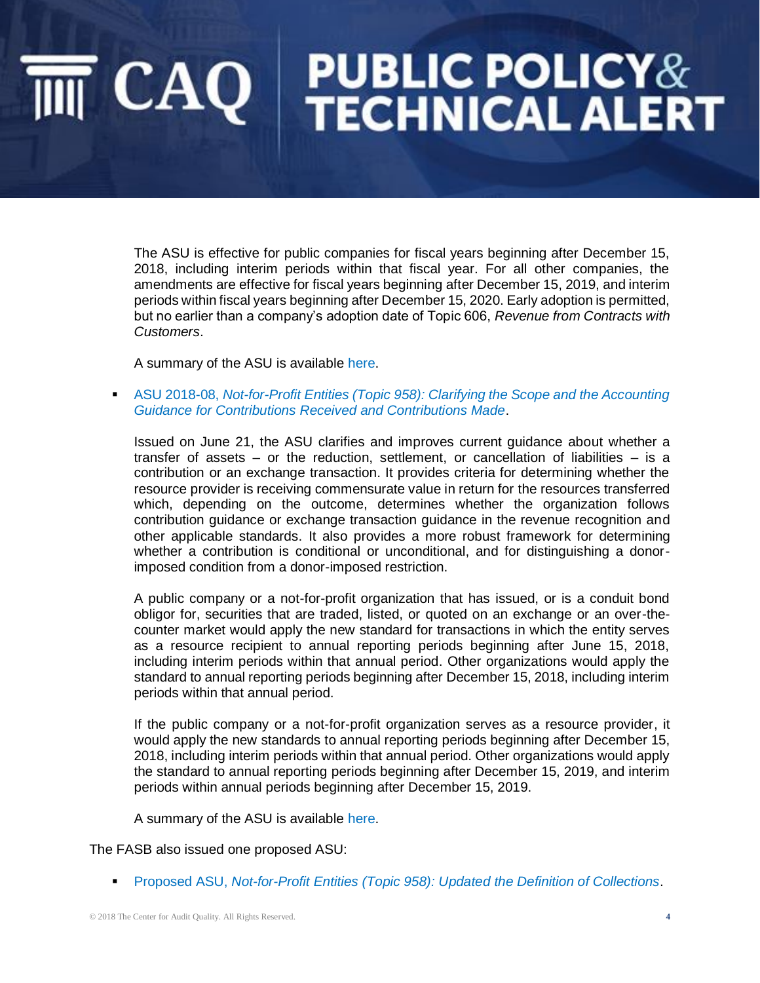# **PUBLIC POLICY&<br>TECHNICAL ALERT**  $\overline{\mathbb{T}}$  CAQ  $\parallel$

The ASU is effective for public companies for fiscal years beginning after December 15, 2018, including interim periods within that fiscal year. For all other companies, the amendments are effective for fiscal years beginning after December 15, 2019, and interim periods within fiscal years beginning after December 15, 2020. Early adoption is permitted, but no earlier than a company's adoption date of Topic 606, *Revenue from Contracts with Customers*.

A summary of the ASU is available [here.](https://www.fasb.org/cs/Satellite?c=FASBContent_C&cid=1176170790012&pagename=FASB%2FFASBContent_C%2FGeneralContentDisplay)

**ASU 2018-08, Not-for-Profit Entities (Topic 958): Clarifying the Scope and the Accounting** *[Guidance for Contributions Received and Contributions Made](https://www.fasb.org/jsp/FASB/Document_C/DocumentPage?cid=1176170810258&acceptedDisclaimer=true)*.

Issued on June 21, the ASU clarifies and improves current guidance about whether a transfer of assets – or the reduction, settlement, or cancellation of liabilities – is a contribution or an exchange transaction. It provides criteria for determining whether the resource provider is receiving commensurate value in return for the resources transferred which, depending on the outcome, determines whether the organization follows contribution guidance or exchange transaction guidance in the revenue recognition and other applicable standards. It also provides a more robust framework for determining whether a contribution is conditional or unconditional, and for distinguishing a donorimposed condition from a donor-imposed restriction.

A public company or a not-for-profit organization that has issued, or is a conduit bond obligor for, securities that are traded, listed, or quoted on an exchange or an over-thecounter market would apply the new standard for transactions in which the entity serves as a resource recipient to annual reporting periods beginning after June 15, 2018, including interim periods within that annual period. Other organizations would apply the standard to annual reporting periods beginning after December 15, 2018, including interim periods within that annual period.

If the public company or a not-for-profit organization serves as a resource provider, it would apply the new standards to annual reporting periods beginning after December 15, 2018, including interim periods within that annual period. Other organizations would apply the standard to annual reporting periods beginning after December 15, 2019, and interim periods within annual periods beginning after December 15, 2019.

A summary of the ASU is available [here.](https://www.fasb.org/cs/Satellite?c=FASBContent_C&cid=1176170795756&pagename=FASB%2FFASBContent_C%2FGeneralContentDisplay)

The FASB also issued one proposed ASU:

▪ Proposed ASU, *[Not-for-Profit Entities \(Topic 958\): Updated the Definition of Collections](https://www.fasb.org/jsp/FASB/Document_C/DocumentPage?cid=1176170826716&acceptedDisclaimer=true)*.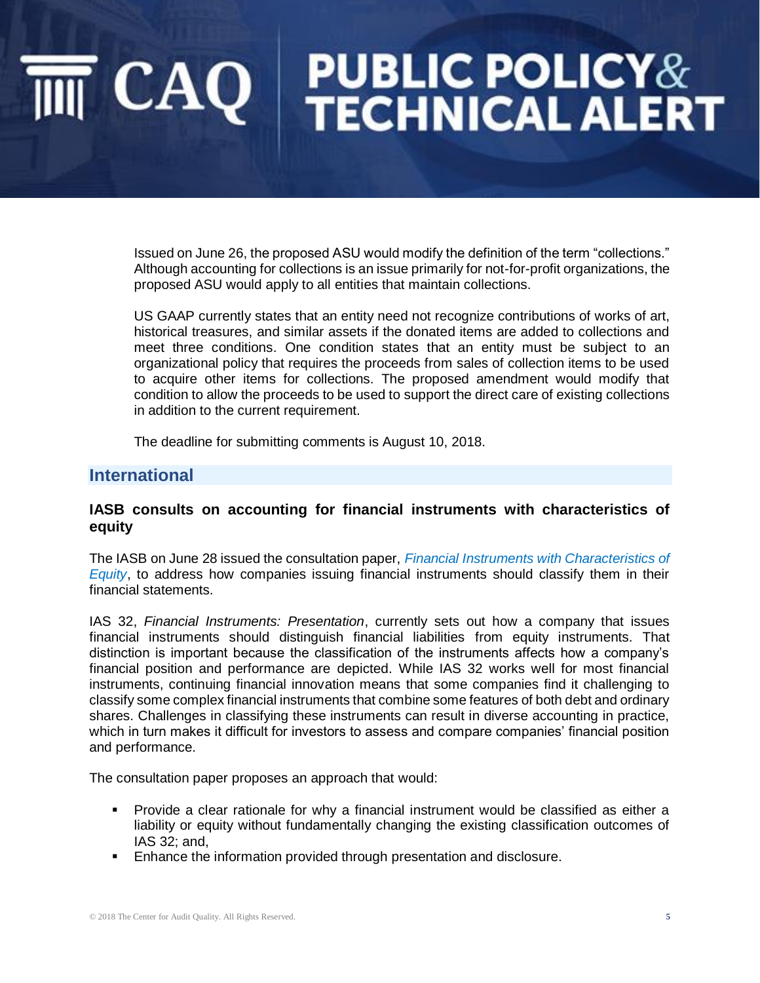# **PUBLIC POLICY&<br>TECHNICAL ALERT**  $\overline{\mathbb{I}}$  CAQ  $\mathbb{I}$

Issued on June 26, the proposed ASU would modify the definition of the term "collections." Although accounting for collections is an issue primarily for not-for-profit organizations, the proposed ASU would apply to all entities that maintain collections.

US GAAP currently states that an entity need not recognize contributions of works of art, historical treasures, and similar assets if the donated items are added to collections and meet three conditions. One condition states that an entity must be subject to an organizational policy that requires the proceeds from sales of collection items to be used to acquire other items for collections. The proposed amendment would modify that condition to allow the proceeds to be used to support the direct care of existing collections in addition to the current requirement.

The deadline for submitting comments is August 10, 2018.

## **International**

### **IASB consults on accounting for financial instruments with characteristics of equity**

The IASB on June 28 issued the consultation paper, *[Financial Instruments with Characteristics of](https://www.ifrs.org/projects/work-plan/financial-instruments-with-characteristics-of-equity/comment-letters-projects/dp-fice/)  [Equity](https://www.ifrs.org/projects/work-plan/financial-instruments-with-characteristics-of-equity/comment-letters-projects/dp-fice/)*, to address how companies issuing financial instruments should classify them in their financial statements.

IAS 32, *Financial Instruments: Presentation*, currently sets out how a company that issues financial instruments should distinguish financial liabilities from equity instruments. That distinction is important because the classification of the instruments affects how a company's financial position and performance are depicted. While IAS 32 works well for most financial instruments, continuing financial innovation means that some companies find it challenging to classify some complex financial instruments that combine some features of both debt and ordinary shares. Challenges in classifying these instruments can result in diverse accounting in practice, which in turn makes it difficult for investors to assess and compare companies' financial position and performance.

The consultation paper proposes an approach that would:

- Provide a clear rationale for why a financial instrument would be classified as either a liability or equity without fundamentally changing the existing classification outcomes of IAS 32; and,
- **Enhance the information provided through presentation and disclosure.**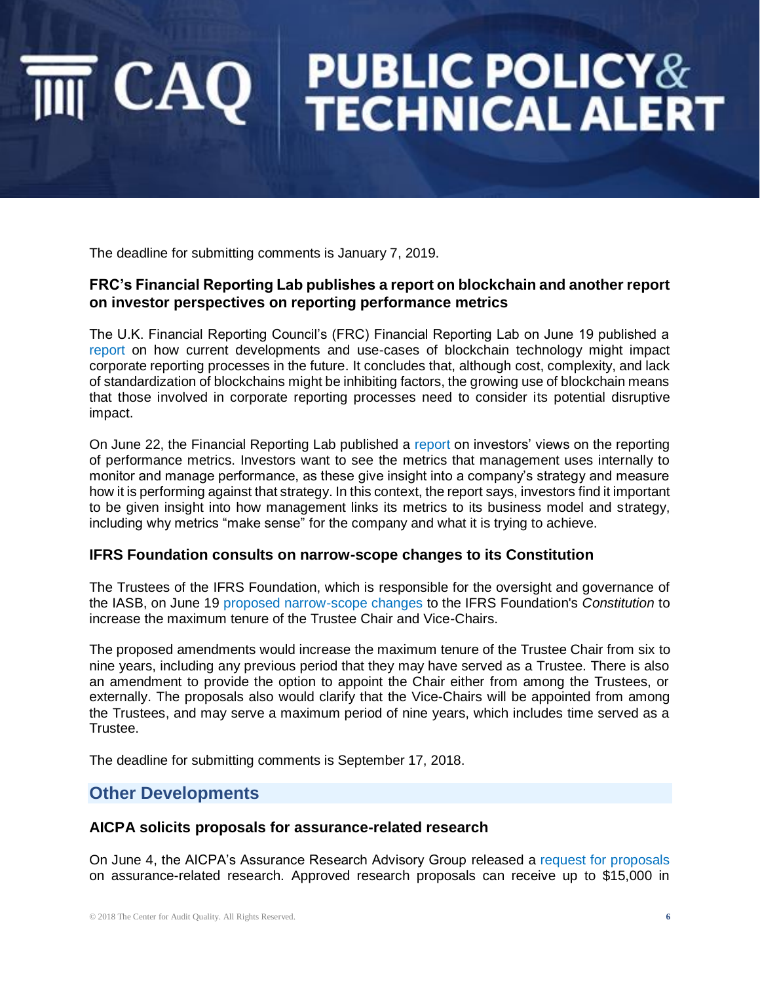# **PUBLIC POLICY&<br>TECHNICAL ALERT**  $|$  CAQ  $|$

The deadline for submitting comments is January 7, 2019.

### **FRC's Financial Reporting Lab publishes a report on blockchain and another report on investor perspectives on reporting performance metrics**

The U.K. Financial Reporting Council's (FRC) Financial Reporting Lab on June 19 published a [report](https://www.frc.org.uk/getattachment/58866565-ab3b-44d3-93e1-1ef7158968d5/Blockchain-and-the-future-of-corporate-reporting-how-does-it-measure-up-(June-2018).pdf) on how current developments and use-cases of blockchain technology might impact corporate reporting processes in the future. It concludes that, although cost, complexity, and lack of standardization of blockchains might be inhibiting factors, the growing use of blockchain means that those involved in corporate reporting processes need to consider its potential disruptive impact.

On June 22, the Financial Reporting Lab published a [report](https://www.frc.org.uk/getattachment/e94631d1-69c1-4349-8ce5-780d4eca455f/LAB_Reporting-of-performance-metrics_June-2018.PDF) on investors' views on the reporting of performance metrics. Investors want to see the metrics that management uses internally to monitor and manage performance, as these give insight into a company's strategy and measure how it is performing against that strategy. In this context, the report says, investors find it important to be given insight into how management links its metrics to its business model and strategy, including why metrics "make sense" for the company and what it is trying to achieve.

### **IFRS Foundation consults on narrow-scope changes to its Constitution**

The Trustees of the IFRS Foundation, which is responsible for the oversight and governance of the IASB, on June 19 [proposed narrow-scope changes](https://www.ifrs.org/news-and-events/2018/06/ifrs-foundation-consults-on-narrow-changes-to-its-constitution/) to the IFRS Foundation's *Constitution* to increase the maximum tenure of the Trustee Chair and Vice-Chairs.

The proposed amendments would increase the maximum tenure of the Trustee Chair from six to nine years, including any previous period that they may have served as a Trustee. There is also an amendment to provide the option to appoint the Chair either from among the Trustees, or externally. The proposals also would clarify that the Vice-Chairs will be appointed from among the Trustees, and may serve a maximum period of nine years, which includes time served as a Trustee.

The deadline for submitting comments is September 17, 2018.

## **Other Developments**

### **AICPA solicits proposals for assurance-related research**

On June 4, the AICPA's Assurance Research Advisory Group released a [request for proposals](http://americaninstituteofcpas.pr-optout.com/Tracking.aspx?Data=HHL%3d82%3c%2f98-%3eLCE1%4029794-GLCE17.6&RE=MC&RI=4272057&Preview=False&DistributionActionID=14237&Action=Follow+Link) on assurance-related research. Approved research proposals can receive up to \$15,000 in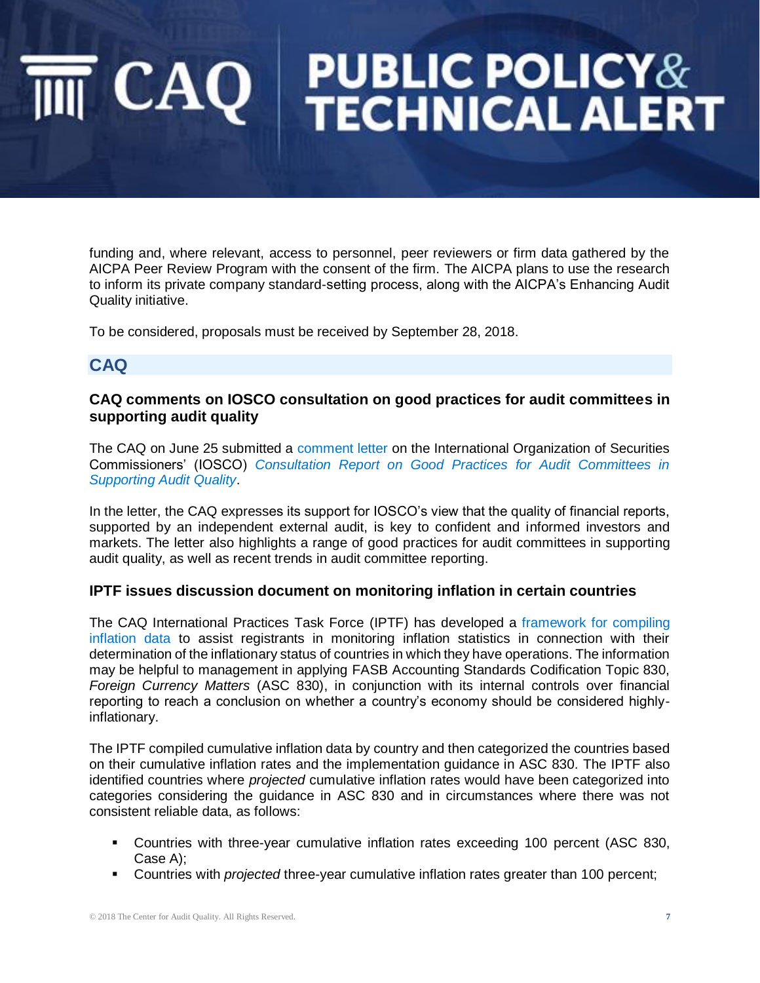# **PUBLIC POLICY&<br>TECHNICAL ALERT**  $\mathsf{CAO}$

funding and, where relevant, access to personnel, peer reviewers or firm data gathered by the AICPA Peer Review Program with the consent of the firm. The AICPA plans to use the research to inform its private company standard-setting process, along with the AICPA's Enhancing Audit Quality initiative.

To be considered, proposals must be received by September 28, 2018.

## **CAQ**

## **CAQ comments on IOSCO consultation on good practices for audit committees in supporting audit quality**

The CAQ on June 25 submitted a [comment letter](https://www.thecaq.org/iosco-consultation-report-good-practices-audit-committees-supporting-audit-quality) on the International Organization of Securities Commissioners' (IOSCO) *[Consultation Report on Good Practices for Audit Committees in](http://www.iosco.org/library/pubdocs/pdf/IOSCOPD600.pdf)  [Supporting Audit Quality](http://www.iosco.org/library/pubdocs/pdf/IOSCOPD600.pdf)*.

In the letter, the CAQ expresses its support for IOSCO's view that the quality of financial reports, supported by an independent external audit, is key to confident and informed investors and markets. The letter also highlights a range of good practices for audit committees in supporting audit quality, as well as recent trends in audit committee reporting.

## **IPTF issues discussion document on monitoring inflation in certain countries**

The CAQ International Practices Task Force (IPTF) has developed a [framework for compiling](https://www.thecaq.org/discussion-document-monitoring-inflation-certain-countries-may-2018)  [inflation data](https://www.thecaq.org/discussion-document-monitoring-inflation-certain-countries-may-2018) to assist registrants in monitoring inflation statistics in connection with their determination of the inflationary status of countries in which they have operations. The information may be helpful to management in applying FASB Accounting Standards Codification Topic 830, *Foreign Currency Matters* (ASC 830), in conjunction with its internal controls over financial reporting to reach a conclusion on whether a country's economy should be considered highlyinflationary.

The IPTF compiled cumulative inflation data by country and then categorized the countries based on their cumulative inflation rates and the implementation guidance in ASC 830. The IPTF also identified countries where *projected* cumulative inflation rates would have been categorized into categories considering the guidance in ASC 830 and in circumstances where there was not consistent reliable data, as follows:

- Countries with three-year cumulative inflation rates exceeding 100 percent (ASC 830, Case A);
- Countries with *projected* three-year cumulative inflation rates greater than 100 percent;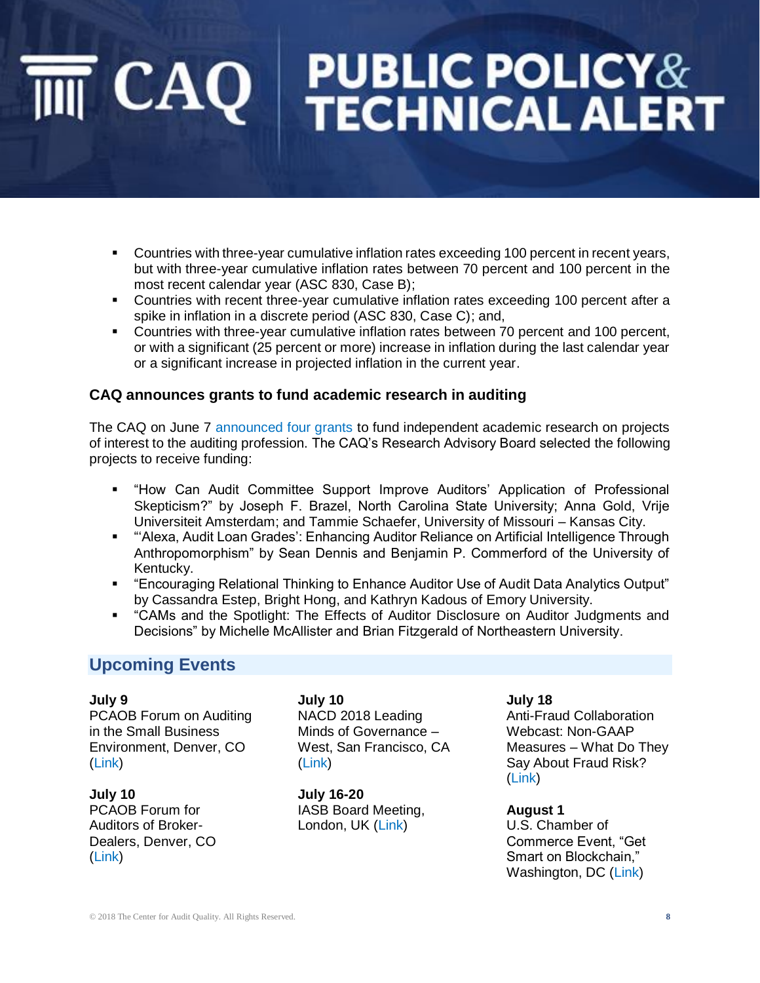# **PUBLIC POLICY&<br>TECHNICAL ALERT** CAQ |

- **Countries with three-year cumulative inflation rates exceeding 100 percent in recent years,** but with three-year cumulative inflation rates between 70 percent and 100 percent in the most recent calendar year (ASC 830, Case B);
- Countries with recent three-year cumulative inflation rates exceeding 100 percent after a spike in inflation in a discrete period (ASC 830, Case C); and,
- Countries with three-year cumulative inflation rates between 70 percent and 100 percent, or with a significant (25 percent or more) increase in inflation during the last calendar year or a significant increase in projected inflation in the current year.

### **CAQ announces grants to fund academic research in auditing**

The CAQ on June 7 [announced four grants](https://www.thecaq.org/caq-announces-grants-fund-academic-research-auditing-0) to fund independent academic research on projects of interest to the auditing profession. The CAQ's Research Advisory Board selected the following projects to receive funding:

- "How Can Audit Committee Support Improve Auditors' Application of Professional Skepticism?" by Joseph F. Brazel, North Carolina State University; Anna Gold, Vrije Universiteit Amsterdam; and Tammie Schaefer, University of Missouri – Kansas City.
- "'Alexa, Audit Loan Grades': Enhancing Auditor Reliance on Artificial Intelligence Through Anthropomorphism" by Sean Dennis and Benjamin P. Commerford of the University of Kentucky.
- "Encouraging Relational Thinking to Enhance Auditor Use of Audit Data Analytics Output" by Cassandra Estep, Bright Hong, and Kathryn Kadous of Emory University.
- "CAMs and the Spotlight: The Effects of Auditor Disclosure on Auditor Judgments and Decisions" by Michelle McAllister and Brian Fitzgerald of Northeastern University.

## **Upcoming Events**

**July 9** PCAOB Forum on Auditing

in the Small Business Environment, Denver, CO [\(Link\)](https://pcaobus.org/News/Events/Pages/07092018-Small-Business-Forum-Denver.aspx)

**July 10** PCAOB Forum for Auditors of Broker-Dealers, Denver, CO [\(Link\)](https://pcaobus.org/News/Events/Pages/07102018-Broker-Dealer-Forum-Denver.aspx)

**July 10** NACD 2018 Leading Minds of Governance – West, San Francisco, CA [\(Link\)](https://www.nacdonline.org/Education/EventSearch.cfm?&Locations=CA)

**July 16-20** IASB Board Meeting, London, UK [\(Link\)](http://www.ifrs.org/news-and-events/calendar/2018/july/international-accounting-standards-board/)

**July 18** Anti-Fraud Collaboration Webcast: Non-GAAP Measures – What Do They Say About Fraud Risk? [\(Link\)](https://event.on24.com/eventRegistration/EventLobbyServlet?target=registration.jsp&referrer=&eventid=1672814&sessionid=1&key=558BE2411D4D5038311D4B7237470649®Tag=&sourcepage=register)

**August 1** U.S. Chamber of Commerce Event, "Get Smart on Blockchain," Washington, DC [\(Link\)](https://www.uschamber.com/event/get-smart-blockchain)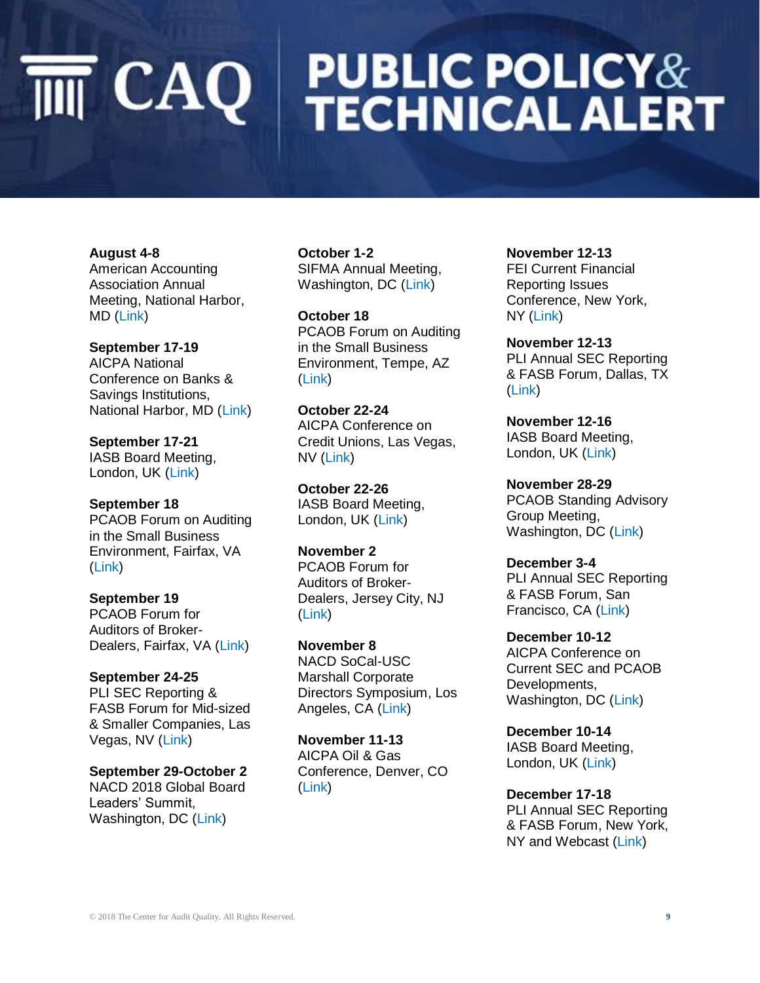# **PUBLIC POLICY&<br>TECHNICAL ALERT**  $\overline{\mathbb{M}}$  CAQ

**August 4-8** American Accounting Association Annual Meeting, National Harbor, MD [\(Link\)](http://aaahq.org/Meetings/2018/Annual-Meeting)

**September 17-19** AICPA National Conference on Banks & Savings Institutions, National Harbor, MD [\(Link\)](https://www.aicpastore.com/AuditAttest/aicpa-national-conference-banks-savings-institutio/PRDOVR~PC-BANK/PC-BANK.jsp)

**September 17-21** IASB Board Meeting, London, UK [\(Link\)](http://www.ifrs.org/news-and-events/calendar/2018/september/international-accounting-standards-board/)

**September 18** PCAOB Forum on Auditing in the Small Business Environment, Fairfax, VA [\(Link\)](https://pcaobus.org/News/Events/Pages/09182018-Small-Business-Forum-Fairfax.aspx)

**September 19** PCAOB Forum for Auditors of Broker-Dealers, Fairfax, VA [\(Link\)](https://pcaobus.org/News/Events/Pages/09192018-Broker-Dealer-Forum-Fairfax.aspx)

**September 24-25** PLI SEC Reporting & FASB Forum for Mid-sized & Smaller Companies, Las Vegas, NV [\(Link\)](https://www.pli.edu/Content/Seminar/14th_Annual_SEC_Reporting_FASB_Forum_for/_/N-4kZ1z0zu1v?ID=328068)

**September 29-October 2** NACD 2018 Global Board Leaders' Summit, Washington, DC [\(Link\)](https://www.nacdonline.org/summit/#/agenda/51927)

**October 1-2** SIFMA Annual Meeting, Washington, DC [\(Link\)](https://www.sifma.org/event/sifma-annual-meeting/)

**October 18** PCAOB Forum on Auditing in the Small Business Environment, Tempe, AZ [\(Link\)](https://pcaobus.org/News/Events/Pages/10182018-Small-Business-Forum-Tempe.aspx)

**October 22-24** AICPA Conference on Credit Unions, Las Vegas, NV [\(Link\)](https://www.aicpastore.com/Accounting/IndustryspecificGuidance/DepositLending/aicpa-conference-on-credit-unions/PRDOVR~PC-CU/PC-CU.jsp)

**October 22-26** IASB Board Meeting, London, UK [\(Link\)](http://www.ifrs.org/news-and-events/calendar/2018/october/international-accounting-standards-board/)

**November 2** PCAOB Forum for Auditors of Broker-Dealers, Jersey City, NJ [\(Link\)](https://pcaobus.org/News/Events/Pages/11022018-Broker-Dealer-Forum-Jersey-City.aspx)

**November 8** NACD SoCal-USC Marshall Corporate Directors Symposium, Los Angeles, CA [\(Link\)](https://southerncalifornia.nacdonline.org/Events/EventDetail.cfm?ItemNumber=57216&_ga=2.166804158.103546884.1529068259-1319354723.1493647847&RDtoken=36357&userID=)

**November 11-13** AICPA Oil & Gas Conference, Denver, CO [\(Link\)](https://www.aicpastore.com/Accounting/IndustryspecificGuidance/OtherIndustries/aicpa-oil---gas-conference/PRDOVR~PC-OIL/PC-OIL.jsp)

**November 12-13** FEI Current Financial Reporting Issues Conference, New York, NY [\(Link\)](https://www.financialexecutives.org/Events/Conferences/Current-Financial-Reporting-Issues.aspx)

**November 12-13** PLI Annual SEC Reporting & FASB Forum, Dallas, TX [\(Link\)](https://www.pli.edu/Content/Seminar/34th_Annual_SEC_Reporting_FASB_Forum/_/N-4kZ1z0ztjw?ID=328754)

**November 12-16** IASB Board Meeting, London, UK [\(Link\)](http://www.ifrs.org/news-and-events/calendar/2018/november/international-accounting-standards-board/)

**November 28-29** PCAOB Standing Advisory Group Meeting, Washington, DC [\(Link\)](https://pcaobus.org/News/Releases/Pages/six-new-eight-reappointed-standing-advisory-group-members-1-12-2018.aspx)

**December 3-4** PLI Annual SEC Reporting & FASB Forum, San Francisco, CA [\(Link\)](https://www.pli.edu/Content/Seminar/34th_Annual_SEC_Reporting_FASB_Forum/_/N-4kZ1z0ztjw?ID=328754)

**December 10-12** AICPA Conference on Current SEC and PCAOB Developments, Washington, DC [\(Link\)](https://www.aicpastore.com/Accounting/FinancialReporting/aicpa-conference-on-current-sec-and-pcaob-developm/PRDOVR~PC-SEC/PC-SEC.jsp)

**December 10-14** IASB Board Meeting, London, UK [\(Link\)](http://www.ifrs.org/news-and-events/calendar/2018/december/international-accounting-standards-board/)

**December 17-18** PLI Annual SEC Reporting & FASB Forum, New York, NY and Webcast [\(Link\)](https://www.pli.edu/Content/Seminar/34th_Annual_SEC_Reporting_FASB_Forum/_/N-4kZ1z0ztjw?ID=328754)